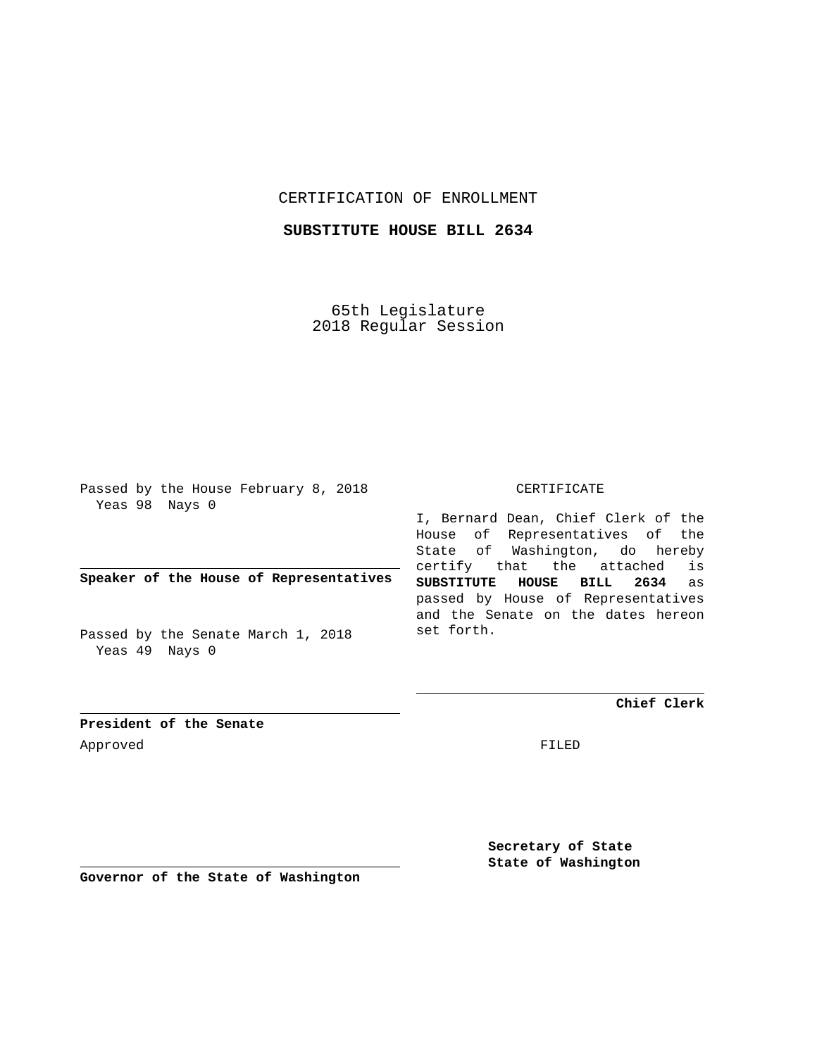## CERTIFICATION OF ENROLLMENT

# **SUBSTITUTE HOUSE BILL 2634**

65th Legislature 2018 Regular Session

Passed by the House February 8, 2018 Yeas 98 Nays 0

## **Speaker of the House of Representatives**

Passed by the Senate March 1, 2018 Yeas 49 Nays 0

#### CERTIFICATE

I, Bernard Dean, Chief Clerk of the House of Representatives of the State of Washington, do hereby certify that the attached is **SUBSTITUTE HOUSE BILL 2634** as passed by House of Representatives and the Senate on the dates hereon set forth.

**Chief Clerk**

**President of the Senate** Approved FILED

**Secretary of State State of Washington**

**Governor of the State of Washington**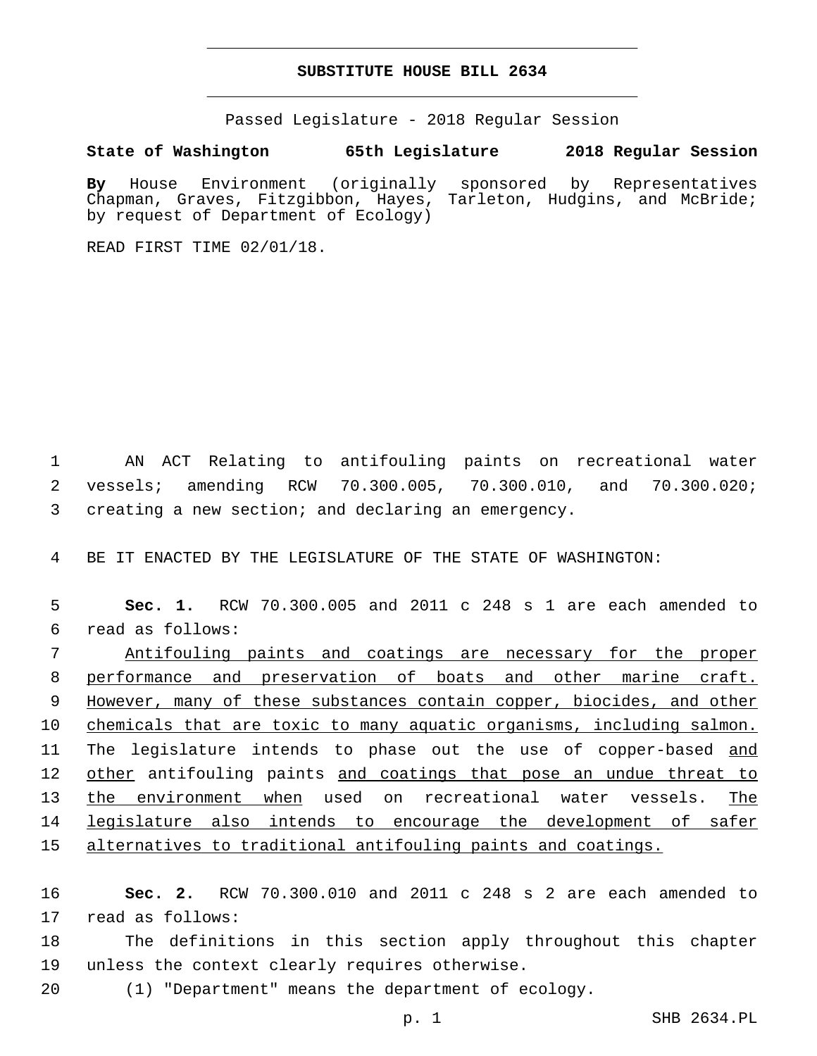#### **SUBSTITUTE HOUSE BILL 2634**

Passed Legislature - 2018 Regular Session

**State of Washington 65th Legislature 2018 Regular Session**

**By** House Environment (originally sponsored by Representatives Chapman, Graves, Fitzgibbon, Hayes, Tarleton, Hudgins, and McBride; by request of Department of Ecology)

READ FIRST TIME 02/01/18.

1 AN ACT Relating to antifouling paints on recreational water 2 vessels; amending RCW 70.300.005, 70.300.010, and 70.300.020; 3 creating a new section; and declaring an emergency.

4 BE IT ENACTED BY THE LEGISLATURE OF THE STATE OF WASHINGTON:

5 **Sec. 1.** RCW 70.300.005 and 2011 c 248 s 1 are each amended to read as follows:6

 Antifouling paints and coatings are necessary for the proper performance and preservation of boats and other marine craft. However, many of these substances contain copper, biocides, and other 10 chemicals that are toxic to many aquatic organisms, including salmon. 11 The legislature intends to phase out the use of copper-based and 12 other antifouling paints and coatings that pose an undue threat to the environment when used on recreational water vessels. The legislature also intends to encourage the development of safer alternatives to traditional antifouling paints and coatings.

16 **Sec. 2.** RCW 70.300.010 and 2011 c 248 s 2 are each amended to 17 read as follows:

18 The definitions in this section apply throughout this chapter 19 unless the context clearly requires otherwise.

20 (1) "Department" means the department of ecology.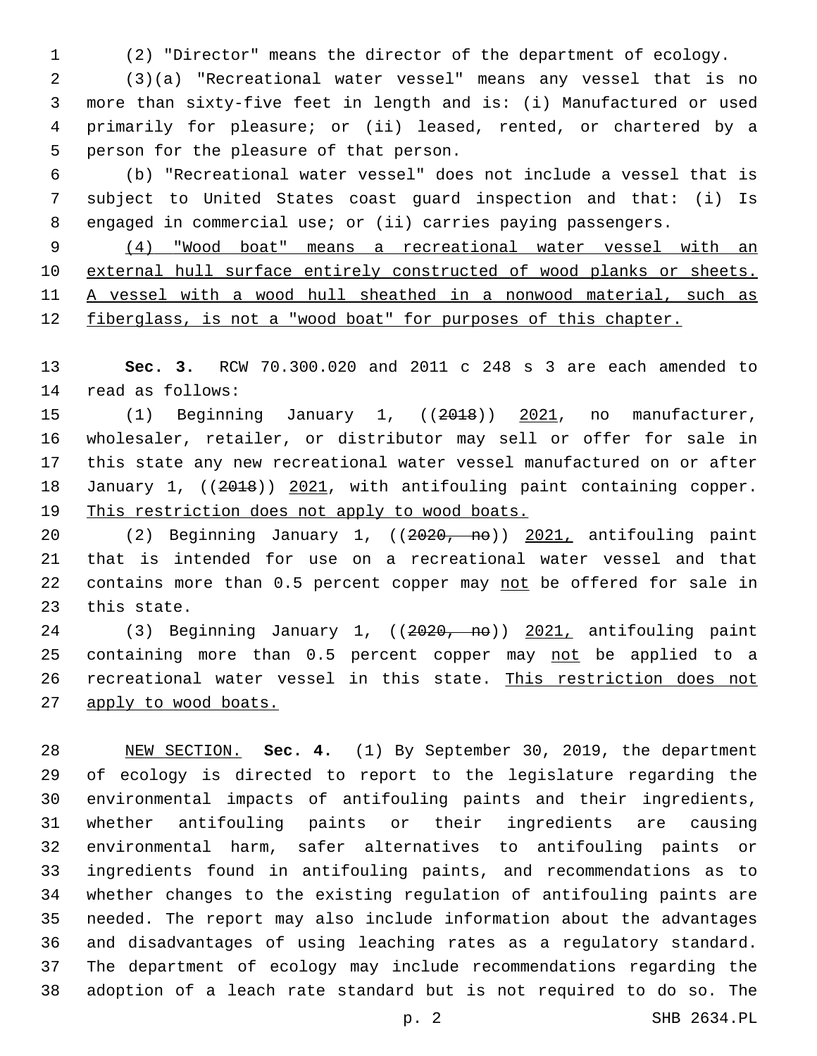(2) "Director" means the director of the department of ecology.

 (3)(a) "Recreational water vessel" means any vessel that is no more than sixty-five feet in length and is: (i) Manufactured or used primarily for pleasure; or (ii) leased, rented, or chartered by a 5 person for the pleasure of that person.

 (b) "Recreational water vessel" does not include a vessel that is subject to United States coast guard inspection and that: (i) Is engaged in commercial use; or (ii) carries paying passengers.

 (4) "Wood boat" means a recreational water vessel with an external hull surface entirely constructed of wood planks or sheets. A vessel with a wood hull sheathed in a nonwood material, such as fiberglass, is not a "wood boat" for purposes of this chapter.

 **Sec. 3.** RCW 70.300.020 and 2011 c 248 s 3 are each amended to 14 read as follows:

15 (1) Beginning January 1, ((2018)) 2021, no manufacturer, wholesaler, retailer, or distributor may sell or offer for sale in this state any new recreational water vessel manufactured on or after 18 January 1, ((2018)) 2021, with antifouling paint containing copper. This restriction does not apply to wood boats.

 (2) Beginning January 1, ((2020, no)) 2021, antifouling paint that is intended for use on a recreational water vessel and that 22 contains more than 0.5 percent copper may not be offered for sale in 23 this state.

24 (3) Beginning January 1, ((2020, no)) 2021, antifouling paint 25 containing more than 0.5 percent copper may not be applied to a recreational water vessel in this state. This restriction does not apply to wood boats.

 NEW SECTION. **Sec. 4.** (1) By September 30, 2019, the department of ecology is directed to report to the legislature regarding the environmental impacts of antifouling paints and their ingredients, whether antifouling paints or their ingredients are causing environmental harm, safer alternatives to antifouling paints or ingredients found in antifouling paints, and recommendations as to whether changes to the existing regulation of antifouling paints are needed. The report may also include information about the advantages and disadvantages of using leaching rates as a regulatory standard. The department of ecology may include recommendations regarding the adoption of a leach rate standard but is not required to do so. The